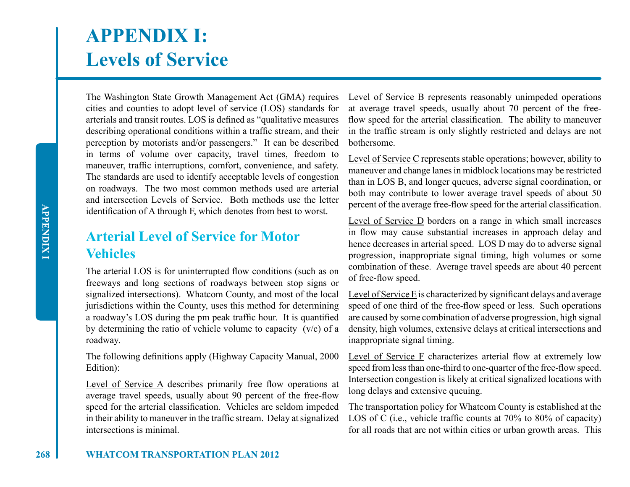# **APPENDIX I: Levels of Service**

The Washington State Growth Management Act (GMA) requires cities and counties to adopt level of service (LOS) standards for arterials and transit routes. LOS is defined as "qualitative measures describing operational conditions within a traffic stream, and their perception by motorists and/or passengers." It can be described in terms of volume over capacity, travel times, freedom to maneuver, traffic interruptions, comfort, convenience, and safety. The standards are used to identify acceptable levels of congestion on roadways. The two most common methods used are arterial and intersection Levels of Service. Both methods use the letter identification of A through F, which denotes from best to worst.

# **Arterial Level of Service for Motor Vehicles**

The arterial LOS is for uninterrupted flow conditions (such as on freeways and long sections of roadways between stop signs or signalized intersections). Whatcom County, and most of the local jurisdictions within the County, uses this method for determining a roadway's LOS during the pm peak traffic hour. It is quantified by determining the ratio of vehicle volume to capacity (v/c) of a roadway.

The following definitions apply (Highway Capacity Manual, 2000 Edition):

Level of Service A describes primarily free flow operations at average travel speeds, usually about 90 percent of the free-flow speed for the arterial classification. Vehicles are seldom impeded in their ability to maneuver in the traffic stream. Delay at signalized intersections is minimal.

Level of Service B represents reasonably unimpeded operations at average travel speeds, usually about 70 percent of the freeflow speed for the arterial classification. The ability to maneuver in the traffic stream is only slightly restricted and delays are not bothersome.

Level of Service C represents stable operations; however, ability to maneuver and change lanes in midblock locations may be restricted than in LOS B, and longer queues, adverse signal coordination, or both may contribute to lower average travel speeds of about 50 percent of the average free-flow speed for the arterial classification.

Level of Service  $D$  borders on a range in which small increases in flow may cause substantial increases in approach delay and hence decreases in arterial speed. LOS D may do to adverse signal progression, inappropriate signal timing, high volumes or some combination of these. Average travel speeds are about 40 percent of free-flow speed.

Level of Service E is characterized by significant delays and average speed of one third of the free-flow speed or less. Such operations are caused by some combination of adverse progression, high signal density, high volumes, extensive delays at critical intersections and inappropriate signal timing.

Level of Service F characterizes arterial flow at extremely low speed from less than one-third to one-quarter of the free-flow speed. Intersection congestion is likely at critical signalized locations with long delays and extensive queuing.

The transportation policy for Whatcom County is established at the LOS of C (i.e., vehicle traffic counts at 70% to 80% of capacity) for all roads that are not within cities or urban growth areas. This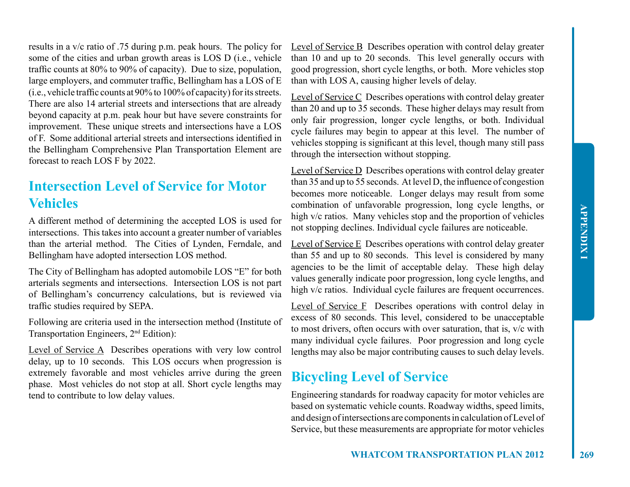results in a v/c ratio of .75 during p.m. peak hours. The policy for some of the cities and urban growth areas is LOS D (i.e., vehicle traffic counts at 80% to 90% of capacity). Due to size, population, large employers, and commuter traffic, Bellingham has a LOS of E (i.e., vehicle traffic counts at 90% to 100% of capacity) for its streets. There are also 14 arterial streets and intersections that are already beyond capacity at p.m. peak hour but have severe constraints for improvement. These unique streets and intersections have a LOS of F. Some additional arterial streets and intersections identified in the Bellingham Comprehensive Plan Transportation Element are forecast to reach LOS F by 2022.

# **Intersection Level of Service for Motor Vehicles**

A different method of determining the accepted LOS is used for intersections. This takes into account a greater number of variables than the arterial method. The Cities of Lynden, Ferndale, and Bellingham have adopted intersection LOS method.

The City of Bellingham has adopted automobile LOS "E" for both arterials segments and intersections. Intersection LOS is not part of Bellingham's concurrency calculations, but is reviewed via traffic studies required by SEPA.

Following are criteria used in the intersection method (Institute of Transportation Engineers, 2nd Edition):

Level of Service A Describes operations with very low control delay, up to 10 seconds. This LOS occurs when progression is extremely favorable and most vehicles arrive during the green phase. Most vehicles do not stop at all. Short cycle lengths may tend to contribute to low delay values.

Level of Service B Describes operation with control delay greater than 10 and up to 20 seconds. This level generally occurs with good progression, short cycle lengths, or both. More vehicles stop than with LOS A, causing higher levels of delay.

Level of Service C Describes operations with control delay greater than 20 and up to 35 seconds. These higher delays may result from only fair progression, longer cycle lengths, or both. Individual cycle failures may begin to appear at this level. The number of vehicles stopping is significant at this level, though many still pass through the intersection without stopping.

Level of Service D Describes operations with control delay greater than 35 and up to 55 seconds. At level D, the influence of congestion becomes more noticeable. Longer delays may result from some combination of unfavorable progression, long cycle lengths, or high v/c ratios. Many vehicles stop and the proportion of vehicles not stopping declines. Individual cycle failures are noticeable.

Level of Service E Describes operations with control delay greater than 55 and up to 80 seconds. This level is considered by many agencies to be the limit of acceptable delay. These high delay values generally indicate poor progression, long cycle lengths, and high v/c ratios. Individual cycle failures are frequent occurrences.

Level of Service F Describes operations with control delay in excess of 80 seconds. This level, considered to be unacceptable to most drivers, often occurs with over saturation, that is, v/c with many individual cycle failures. Poor progression and long cycle lengths may also be major contributing causes to such delay levels.

### **Bicycling Level of Service**

Engineering standards for roadway capacity for motor vehicles are based on systematic vehicle counts. Roadway widths, speed limits, and design of intersections are components in calculation of Level of Service, but these measurements are appropriate for motor vehicles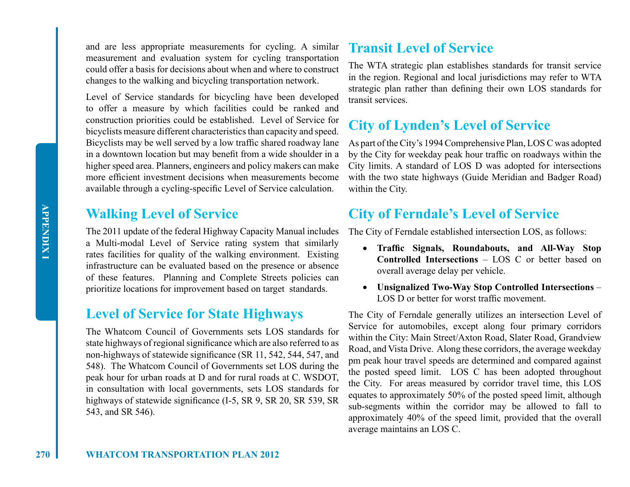and are less appropriate measurements for cycling. A similar measurement and evaluation system for cycling transportation could offer a basis for decisions about when and where to construct changes to the walking and bicycling transportation network.

Level of Service standards for bicycling have been developed to offer a measure by which facilities could be ranked and construction priorities could be established. Level of Service for bicyclists measure different characteristics than capacity and speed. Bicyclists may be well served by a low traffic shared roadway lane in a downtown location but may benefit from a wide shoulder in a higher speed area. Planners, engineers and policy makers can make more efficient investment decisions when measurements become available through a cycling-specific Level of Service calculation.

# **Walking Level of Service**

The 2011 update of the federal Highway Capacity Manual includes a Multi-modal Level of Service rating system that similarly rates facilities for quality of the walking environment. Existing infrastructure can be evaluated based on the presence or absence of these features. Planning and Complete Streets policies can prioritize locations for improvement based on target standards.

### **Level of Service for State Highways**

The Whatcom Council of Governments sets LOS standards for state highways of regional significance which are also referred to as non-highways of statewide significance (SR 11, 542, 544, 547, and 548). The Whatcom Council of Governments set LOS during the peak hour for urban roads at D and for rural roads at C. WSDOT, in consultation with local governments, sets LOS standards for highways of statewide significance (I-5, SR 9, SR 20, SR 539, SR 543, and SR 546).

### **Transit Level of Service**

The WTA strategic plan establishes standards for transit service in the region. Regional and local jurisdictions may refer to WTA strategic plan rather than defining their own LOS standards for transit services.

### **City of Lynden's Level of Service**

As part of the City's 1994 Comprehensive Plan, LOS C was adopted by the City for weekday peak hour traffic on roadways within the City limits. A standard of LOS D was adopted for intersections with the two state highways (Guide Meridian and Badger Road) within the City.

### **City of Ferndale's Level of Service**

The City of Ferndale established intersection LOS, as follows:

- • **Traffic Signals, Roundabouts, and All-Way Stop Controlled Intersections** – LOS C or better based on overall average delay per vehicle.
- • **Unsignalized Two-Way Stop Controlled Intersections**  LOS D or better for worst traffic movement.

The City of Ferndale generally utilizes an intersection Level of Service for automobiles, except along four primary corridors within the City: Main Street/Axton Road, Slater Road, Grandview Road, and Vista Drive. Along these corridors, the average weekday pm peak hour travel speeds are determined and compared against the posted speed limit. LOS C has been adopted throughout the City. For areas measured by corridor travel time, this LOS equates to approximately 50% of the posted speed limit, although sub-segments within the corridor may be allowed to fall to approximately 40% of the speed limit, provided that the overall average maintains an LOS C.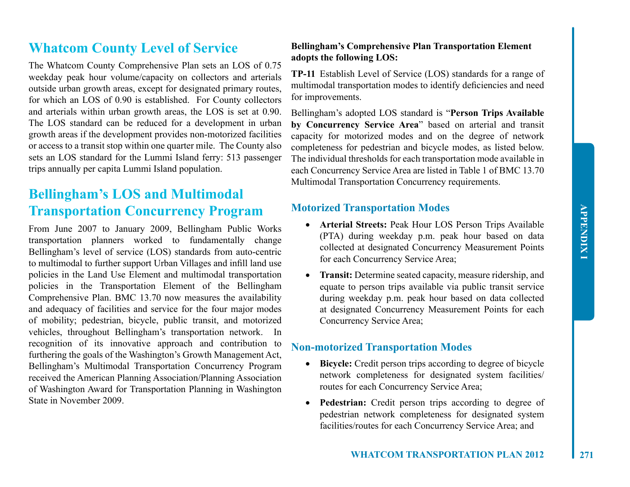# **Whatcom County Level of Service**

The Whatcom County Comprehensive Plan sets an LOS of 0.75 weekday peak hour volume/capacity on collectors and arterials outside urban growth areas, except for designated primary routes, for which an LOS of 0.90 is established. For County collectors and arterials within urban growth areas, the LOS is set at 0.90. The LOS standard can be reduced for a development in urban growth areas if the development provides non-motorized facilities or access to a transit stop within one quarter mile. The County also sets an LOS standard for the Lummi Island ferry: 513 passenger trips annually per capita Lummi Island population.

# **Bellingham's LOS and Multimodal Transportation Concurrency Program**

From June 2007 to January 2009, Bellingham Public Works transportation planners worked to fundamentally change Bellingham's level of service (LOS) standards from auto-centric to multimodal to further support Urban Villages and infill land use policies in the Land Use Element and multimodal transportation policies in the Transportation Element of the Bellingham Comprehensive Plan. BMC 13.70 now measures the availability and adequacy of facilities and service for the four major modes of mobility; pedestrian, bicycle, public transit, and motorized vehicles, throughout Bellingham's transportation network. In recognition of its innovative approach and contribution to furthering the goals of the Washington's Growth Management Act, Bellingham's Multimodal Transportation Concurrency Program received the American Planning Association/Planning Association of Washington Award for Transportation Planning in Washington State in November 2009.

#### **Bellingham's Comprehensive Plan Transportation Element adopts the following LOS:**

**TP-11** Establish Level of Service (LOS) standards for a range of multimodal transportation modes to identify deficiencies and need for improvements.

Bellingham's adopted LOS standard is "**Person Trips Available by Concurrency Service Area**" based on arterial and transit capacity for motorized modes and on the degree of network completeness for pedestrian and bicycle modes, as listed below. The individual thresholds for each transportation mode available in each Concurrency Service Area are listed in Table 1 of BMC 13.70 Multimodal Transportation Concurrency requirements.

### **Motorized Transportation Modes**

- • **Arterial Streets:** Peak Hour LOS Person Trips Available (PTA) during weekday p.m. peak hour based on data collected at designated Concurrency Measurement Points for each Concurrency Service Area;
- • **Transit:** Determine seated capacity, measure ridership, and equate to person trips available via public transit service during weekday p.m. peak hour based on data collected at designated Concurrency Measurement Points for each Concurrency Service Area;

### **Non-motorized Transportation Modes**

- • **Bicycle:** Credit person trips according to degree of bicycle network completeness for designated system facilities/ routes for each Concurrency Service Area;
- **Pedestrian:** Credit person trips according to degree of pedestrian network completeness for designated system facilities/routes for each Concurrency Service Area; and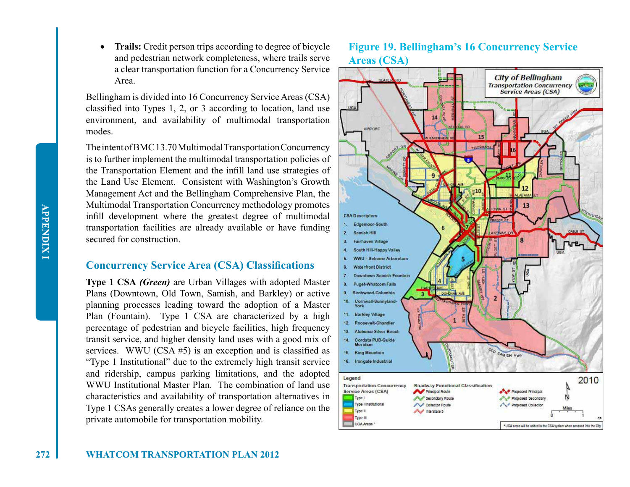**APPENDIX I APPENDIX I**

**Trails:** Credit person trips according to degree of bicycle and pedestrian network completeness, where trails serve a clear transportation function for a Concurrency Service Area.

Bellingham is divided into 16 Concurrency Service Areas (CSA) classified into Types 1, 2, or 3 according to location, land use environment, and availability of multimodal transportation modes.

The intent of BMC 13.70 Multimodal Transportation Concurrency is to further implement the multimodal transportation policies of the Transportation Element and the infill land use strategies of the Land Use Element. Consistent with Washington's Growth Management Act and the Bellingham Comprehensive Plan, the Multimodal Transportation Concurrency methodology promotes infill development where the greatest degree of multimodal transportation facilities are already available or have funding secured for construction.

#### **Concurrency Service Area (CSA) Classifications**

**Type 1 CSA** *(Green)* are Urban Villages with adopted Master Plans (Downtown, Old Town, Samish, and Barkley) or active planning processes leading toward the adoption of a Master Plan (Fountain). Type 1 CSA are characterized by a high percentage of pedestrian and bicycle facilities, high frequency transit service, and higher density land uses with a good mix of services. WWU (CSA #5) is an exception and is classified as "Type 1 Institutional" due to the extremely high transit service and ridership, campus parking limitations, and the adopted WWU Institutional Master Plan The combination of land use characteristics and availability of transportation alternatives in Type 1 CSAs generally creates a lower degree of reliance on the private automobile for transportation mobility.

### **Figure 19. Bellingham's 16 Concurrency Service Areas (CSA)**

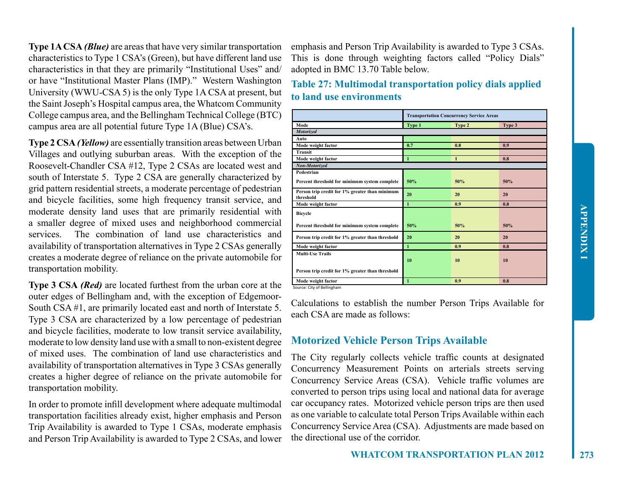**Type 1A CSA** *(Blue)* are areas that have very similar transportation characteristics to Type 1 CSA's (Green), but have different land use characteristics in that they are primarily "Institutional Uses" and/ or have "Institutional Master Plans (IMP)." Western Washington University (WWU-CSA 5) is the only Type 1A CSA at present, but the Saint Joseph's Hospital campus area, the Whatcom Community College campus area, and the Bellingham Technical College (BTC) campus area are all potential future Type 1A (Blue) CSA's.

**Type 2 CSA** *(Yellow)* are essentially transition areas between Urban Villages and outlying suburban areas. With the exception of the Roosevelt-Chandler CSA #12, Type 2 CSAs are located west and south of Interstate 5. Type 2 CSA are generally characterized by grid pattern residential streets, a moderate percentage of pedestrian and bicycle facilities, some high frequency transit service, and moderate density land uses that are primarily residential with a smaller degree of mixed uses and neighborhood commercial services. The combination of land use characteristics and availability of transportation alternatives in Type 2 CSAs generally creates a moderate degree of reliance on the private automobile for transportation mobility.

**Type 3 CSA** *(Red)* are located furthest from the urban core at the outer edges of Bellingham and, with the exception of Edgemoor-South CSA #1, are primarily located east and north of Interstate 5. Type 3 CSA are characterized by a low percentage of pedestrian and bicycle facilities, moderate to low transit service availability, moderate to low density land use with a small to non-existent degree of mixed uses. The combination of land use characteristics and availability of transportation alternatives in Type 3 CSAs generally creates a higher degree of reliance on the private automobile for transportation mobility.

In order to promote infill development where adequate multimodal transportation facilities already exist, higher emphasis and Person Trip Availability is awarded to Type 1 CSAs, moderate emphasis and Person Trip Availability is awarded to Type 2 CSAs, and lower emphasis and Person Trip Availability is awarded to Type 3 CSAs. This is done through weighting factors called "Policy Dials" adopted in BMC 13.70 Table below.

**Table 27: Multimodal transportation policy dials applied to land use environments**

|                                                             | <b>Transportation Concurrency Service Areas</b> |              |        |
|-------------------------------------------------------------|-------------------------------------------------|--------------|--------|
| Mode                                                        | Type 1                                          | Type 2       | Type 3 |
| <b>Motorized</b>                                            |                                                 |              |        |
| Auto                                                        |                                                 |              |        |
| Mode weight factor                                          | 0.7                                             | 0.8          | 0.9    |
| Transit                                                     |                                                 |              |        |
| Mode weight factor                                          | $\mathbf{1}$                                    | $\mathbf{1}$ | 0.8    |
| Non-Motorized                                               |                                                 |              |        |
| Pedestrian                                                  |                                                 |              |        |
| Percent threshold for minimum system complete               | 50%                                             | 50%          | 50%    |
| Person trip credit for 1% greater than minimum<br>threshold | 20                                              | 20           | 20     |
| Mode weight factor                                          | $\mathbf{1}$                                    | 0.9          | 0.8    |
| <b>Bicycle</b>                                              |                                                 |              |        |
| Percent threshold for minimum system complete               | 50%                                             | 50%          | 50%    |
| Person trip credit for 1% greater than threshold            | 20                                              | 20           | 20     |
| Mode weight factor                                          | $\mathbf{1}$                                    | 0.9          | 0.8    |
| <b>Multi-Use Trails</b>                                     |                                                 |              |        |
|                                                             | 10                                              | 10           | 10     |
| Person trip credit for 1% greater than threshold            |                                                 |              |        |
| Mode weight factor                                          | $\mathbf{1}$                                    | 0.9          | 0.8    |

Source: City of Bellingham

Calculations to establish the number Person Trips Available for each CSA are made as follows:

#### **Motorized Vehicle Person Trips Available**

The City regularly collects vehicle traffic counts at designated Concurrency Measurement Points on arterials streets serving Concurrency Service Areas (CSA). Vehicle traffic volumes are converted to person trips using local and national data for average car occupancy rates. Motorized vehicle person trips are then used as one variable to calculate total Person Trips Available within each Concurrency Service Area (CSA). Adjustments are made based on the directional use of the corridor.